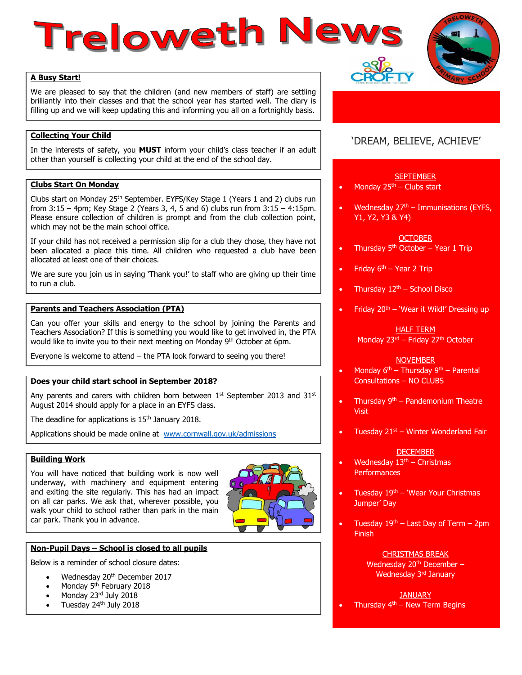# Treloweth New:



We are pleased to say that the children (and new members of staff) are settling brilliantly into their classes and that the school year has started well. The diary is filling up and we will keep updating this and informing you all on a fortnightly basis.

## **Collecting Your Child**

In the interests of safety, you **MUST** inform your child's class teacher if an adult other than yourself is collecting your child at the end of the school day.

#### **Clubs Start On Monday**

Clubs start on Monday 25<sup>th</sup> September. EYFS/Key Stage 1 (Years 1 and 2) clubs run from 3:15 – 4pm; Key Stage 2 (Years 3, 4, 5 and 6) clubs run from 3:15 – 4:15pm. Please ensure collection of children is prompt and from the club collection point, which may not be the main school office.

If your child has not received a permission slip for a club they chose, they have not been allocated a place this time. All children who requested a club have been allocated at least one of their choices.

We are sure you join us in saying 'Thank you!' to staff who are giving up their time to run a club.

# **Parents and Teachers Association (PTA)**

Can you offer your skills and energy to the school by joining the Parents and Teachers Association? If this is something you would like to get involved in, the PTA would like to invite you to their next meeting on Monday 9<sup>th</sup> October at 6pm.

Everyone is welcome to attend – the PTA look forward to seeing you there!

#### **Does your child start school in September 2018?**

Any parents and carers with children born between  $1^{st}$  September 2013 and 31 $st$ August 2014 should apply for a place in an EYFS class.

The deadline for applications is 15<sup>th</sup> January 2018.

Applications should be made online at [www.cornwall.gov.uk/admissions](http://www.cornwall.gov.uk/admissions)

#### **Building Work**

You will have noticed that building work is now well underway, with machinery and equipment entering and exiting the site regularly. This has had an impact on all car parks. We ask that, wherever possible, you walk your child to school rather than park in the main car park. Thank you in advance.



#### **Non-Pupil Days – School is closed to all pupils**

Below is a reminder of school closure dates:

- Wednesday 20<sup>th</sup> December 2017
- Monday 5<sup>th</sup> February 2018
- Monday 23rd July 2018
- Tuesday 24th July 2018

# 'DREAM, BELIEVE, ACHIEVE'

#### **SEPTEMBER**

- Monday  $25<sup>th</sup>$  Clubs start
- Wednesday  $27<sup>th</sup> Immunisations (EYFS,$ Y1, Y2, Y3 & Y4)

#### **OCTOBER**

- Thursday  $5<sup>th</sup>$  October Year 1 Trip
- Friday  $6<sup>th</sup>$  Year 2 Trip
- Thursday  $12<sup>th</sup>$  School Disco
- Friday  $20<sup>th</sup>$  'Wear it Wild!' Dressing up

#### HALF TERM Monday 23rd – Friday 27th October

#### **NOVEMBER**

- Monday  $6^{th}$  Thursday  $9^{th}$  Parental Consultations – NO CLUBS
- Thursday  $9<sup>th</sup>$  Pandemonium Theatre Visit
- Tuesday  $21<sup>st</sup>$  Winter Wonderland Fair

#### **DECEMBER**

- Wednesday  $13<sup>th</sup>$  Christmas **Performances**
- Tuesday  $19<sup>th</sup>$  'Wear Your Christmas Jumper' Day
- Tuesday  $19<sup>th</sup>$  Last Day of Term 2pm Finish

#### CHRISTMAS BREAK

Wednesday 20<sup>th</sup> December -Wednesday 3<sup>rd</sup> January

JANUARY

Thursday  $4<sup>th</sup>$  – New Term Begins